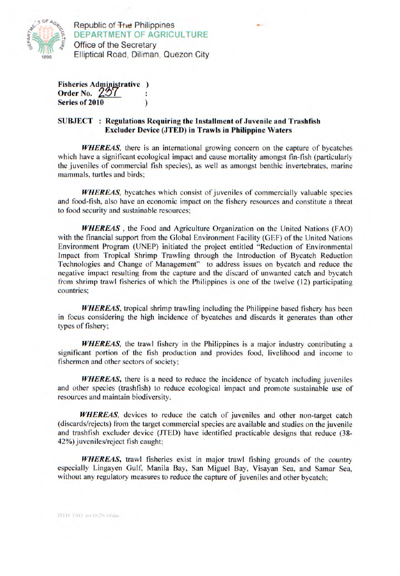

**Republic of The Philippines DEPARTMENT OF AGRICULTURE**  Office of the Secretary Elliptical Road, Diliman. Quezon City

Fisheries Administrative Order No.  $257$ ÷ Series of 2010

## **SUBJECT** : **Regulations Requiring the** Installment of Juvenile and Trash fish **Excluder Device (JTED) in Trawls in Philippine Waters**

*WHEREAS,* there is an international growing concern on the capture of bycatches which have a significant ecological impact and cause mortality amongst fin-fish (particularly the juveniles of commercial fish species), as well as amongst benthic invertebrates, marine mammals, turtles and birds;

*WHEREAS,* bycatches which consist of juveniles of commercially valuable species and food-fish, also have an economic impact on the fishery resources and constitute a threat to food security and sustainable resources;

*WHEREAS,* the Food and Agriculture Organization on the United Nations (FAO) with the financial support from the Global Environment Facility (GEF) of the United Nations Environment Program (UNEP) initiated the project entitled "Reduction of Environmental Impact from Tropical Shrimp Trawling through the Introduction of Bycatch Reduction Technologies and Change of Management" to address issues on bycatch and reduce the negative impact resulting from the capture and the discard of unwanted catch and bycatch from shrimp trawl fisheries of which the Philippines is one of **the twelve (12) participating countries;** 

*WHEREAS,* tropical shrimp trawling **including the Philippine based fishery has been in focus considering the high** incidence of bycatches and discards it generates than other types of fishery;

*WHEREAS,* the trawl fishery in the Philippines is a major industry contributing a significant portion of the fish production and provides food, livelihood and income to fishermen and other sectors of society;

**WHEREAS, there is a need to reduce the incidence of bycatch including juveniles** and other species (trashfish) to reduce ecological impact and promote sustainable use of resources and maintain biodiversity.

**WHEREAS**, devices to reduce the catch of juveniles and other non-target catch (discards/rejects) from the target commercial species are available and studies on the juvenile and trashfish excluder device (JTED) have identified practicable designs that reduce (38- 42%) juveniles/reject fish caught;

WHEREAS, trawl fisheries exist in major trawl fishing grounds of the country especially Lingayen Gulf, Manila Bay, San Miguel Bay, Visayan Sea, and Samar Sea, without any regulatory measures to reduce the capture of juveniles and other bycatch;

JTED: FAO rev10-20-10 doc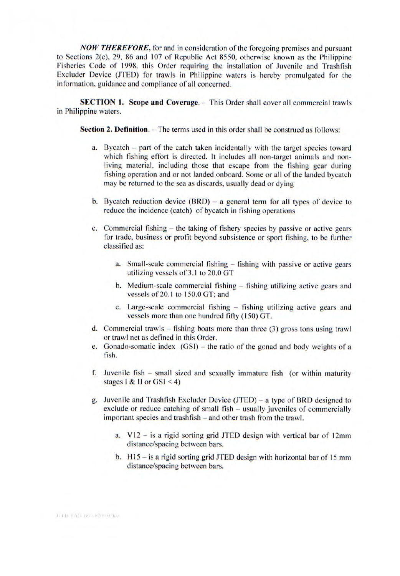*NOW THEREFORE,* for and in consideration of the foregoing premises and pursuant to Sections 2(c), 29, 86 and 107 of Republic Act *8550,* otherwise known as the Philippine Fisheries Code of 1998, this Order requiring the installation of Juvenile and Trashfish Excluder Device (JTED) for trawls in Philippine waters is hereby promulgated for the information, guidance and compliance of all concerned.

**SECTION 1. Scope and Coverage.** - This Order shall cover all commercial trawls in Philippine waters.

**Section 2. Definition.** – The terms used in this order shall be construed as follows:

- a. Bycatch part of the catch taken incidentally with the target species toward which fishing effort is directed. It includes all non-target animals and nonliving material, including those that escape from the fishing gear during fishing operation and or not landed onboard. Some or all of the landed bycatch may be returned to the sea as discards, usually dead or dying
- b. Bycatch reduction device  $(BRD) a$  general term for all types of device to reduce the incidence (catch) of bycatch in fishing operations
- c. Commercial fishing the taking of fishery species by passive or active gears for trade, business or profit beyond subsistence or sport fishing, to be further classified as:
	- a. Small-scale commercial fishing fishing with passive or active gears utilizing vessels of 3.1 to 20.0 GT
	- b. Medium-scale commercial fishing fishing utilizing active gears and vessels of 20.1 to 150.0 GT; and
	- c. Large-scale commercial fishing fishing utilizing active gears and vessels more than one hundred fifty (150) GT.
- d. Commercial trawls fishing boats more than three (3) gross tons using trawl or trawl net as defined in this Order.
- e. Gonado-somatic index (GSI) the ratio of the gonad and body weights of a fish.
- f. Juvenile fish small sized and sexually immature fish (or within maturity stages I & II or  $GSI < 4$ )
- g. Juvenile and Trashfish Excluder Device (JTED) a type of BRD designed to exclude or reduce catching of small fish – usually juveniles of commercially important species and trashfish – and other trash from the trawl.
	- a. V12 is a rigid sorting grid JTED design with vertical bar of 12mm distance/spacing between bars.
	- b.  $H15 is a rigid sorting grid JTED design with horizontal bar of 15 mm$ distance/spacing between bars.

JTLD LAG rev (0-20-10 doc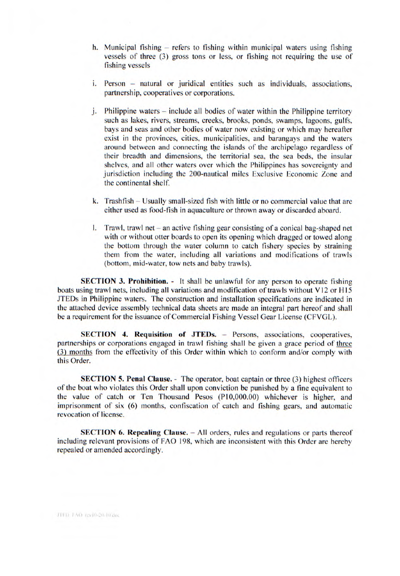- h. Municipal fishing refers to fishing within municipal waters using fishing vessels of three (3) gross tons or less, or fishing not requiring the use of fishing vessels
- i. Person natural or juridical entities such as individuals, associations, partnership, cooperatives or corporations.
- j. Philippine waters include all bodies of water within the Philippine territory such as lakes, rivers, streams, creeks, brooks, ponds, swamps, lagoons, gulfs, bays and seas and other bodies of water now existing or which may hereafter exist in the provinces, cities, municipalities, and barangays and the waters around between and connecting the islands of the archipelago regardless of their breadth and dimensions, the territorial sea, the sea beds, the insular shelves, and all other waters over which the Philippines has sovereignty and jurisdiction including the 200-nautical miles Exclusive Economic Zone and the continental shelf.
- k. Trashfish Usually small-sized fish with little or no commercial value that are either used as food-fish in aquaculture or thrown away or discarded aboard.
- 1. Trawl, trawl net  $-$  an active fishing gear consisting of a conical bag-shaped net with or without otter boards to open its opening which dragged or towed along the bottom through the water column to catch fishery species by straining them from the water, including all variations and modifications of trawls (bottom, mid-water, tow nets and baby trawls).

**SECTION** 3. **Prohibition.** - It shall be unlawful for any person to operate fishing boats using trawl nets, including all variations and modification of trawls without V12 or H15 JTEDs in Philippine waters. The construction and installation specifications are indicated in the attached device assembly technical data sheets are made an integral part hereof and shall be a requirement for the issuance of Commercial Fishing Vessel Gear License (CFVGL).

**SECTION 4. Requisition of JTEDs.** - Persons, associations, cooperatives, partnerships or corporations engaged in trawl fishing shall be given a grace period of three (3) months from the effectivity of this Order within which to conform and/or comply with this Order.

**SECTION 5. Penal Clause.** - The operator, boat captain or three (3) highest officers of the boat who violates this Order shall upon conviction be punished by a fine equivalent to the value of catch or Ten Thousand Pesos (P10,000.00) whichever is higher, and imprisonment of six (6) months, confiscation of catch and fishing gears, and automatic revocation of license.

**SECTION 6. Repealing Clause.** - All orders, rules and regulations or parts thereof including relevant provisions of FAO 198, which are inconsistent with this Order are hereby repealed or amended accordingly.

JTED TAO revi0-20-lirdoc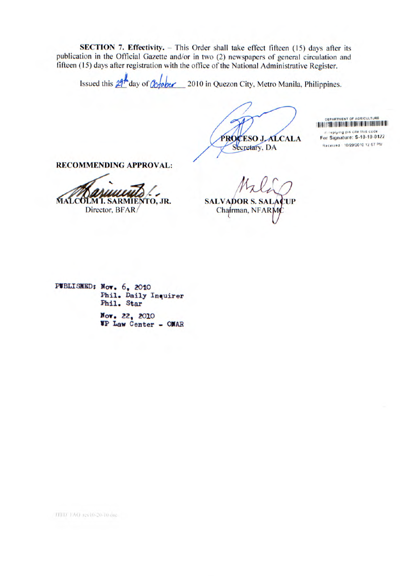**SECTION 7. Effectivity.** – This Order shall take effect fifteen (15) days after its publication in the Official Gazette and/or in two (2) newspapers of general circulation and fifteen (15) days after registration with the office of the National Administrative Register.

Issued this  $21<sup>4</sup>$  day of  $\alpha$  ber 2010 in Quezon City, Metro Manila, Philippines.

PROCESO JALCALA Secretary, DA

DEPARTMENT OF AGRICULTURE **111111111111111 11111i IIII IIIIIIIIIII 1111111111111111111111111111111 For Signature: S-10-10-0422** in replying pis cite this code Received 1012912010 12 57 PM

**RECOMMENDING APPROVAL:** 

**MALCOLM I. SARMIENTO, JR.** 

Director, BFAR/

**SALVADOR S. SALACUP** Chairman, NFARM

**PVDLISI(ED: Nov.** 6, 2010 Phil. Daily Inquirer Phil. Star

> Nov. 22, 2010 VP Law Center — OJAR

TITD TAO rev10-20-10 doc-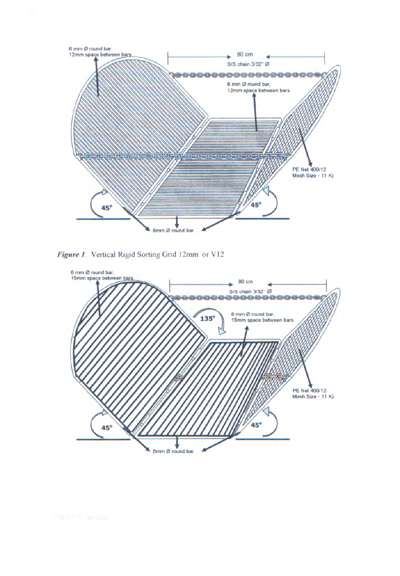